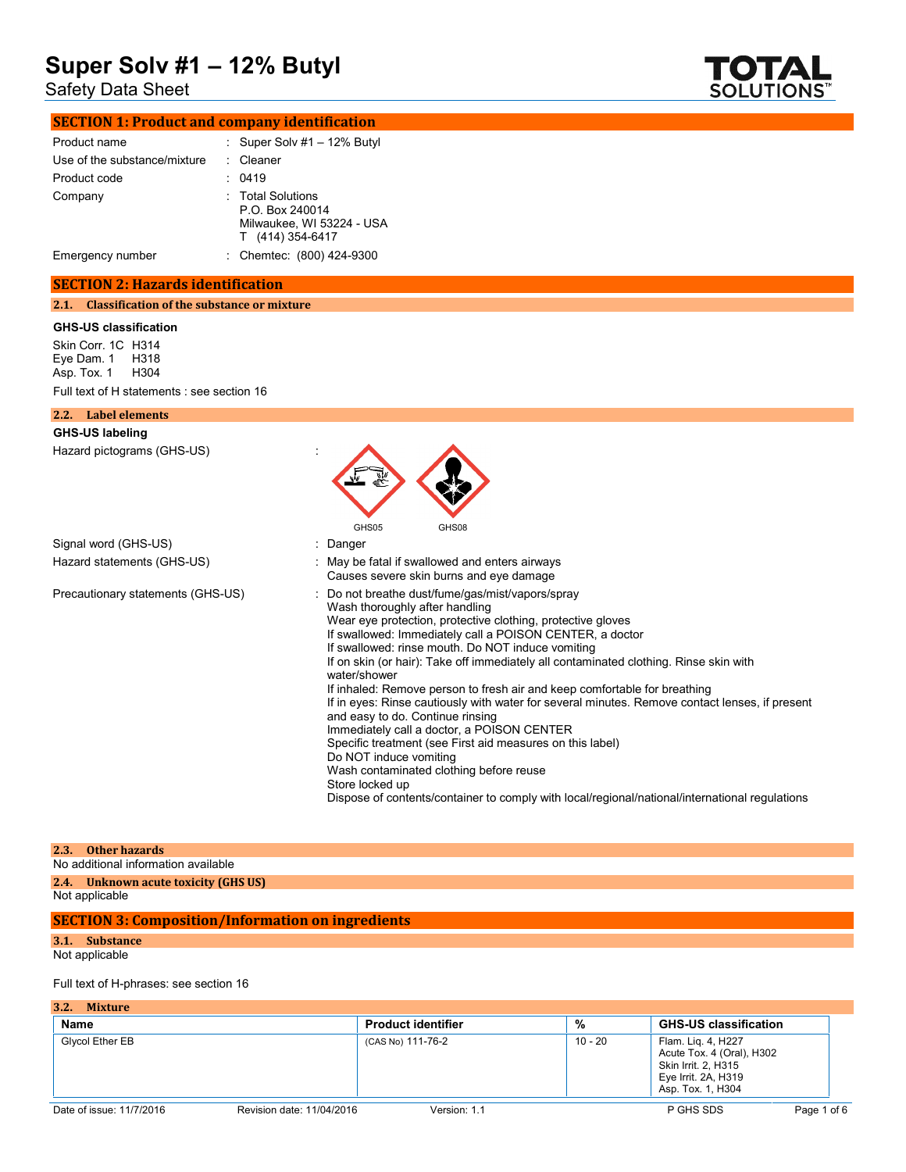# Safety Data Sheet



# **SECTION 1: Product and company identification**

| Product name                 | : Super Solv $#1 - 12\%$ Butyl                                                             |
|------------------------------|--------------------------------------------------------------------------------------------|
| Use of the substance/mixture | Cleaner                                                                                    |
| Product code                 | 0419                                                                                       |
| Company                      | <b>Total Solutions</b><br>P.O. Box 240014<br>Milwaukee, WI 53224 - USA<br>T (414) 354-6417 |
| Emergency number             | : Chemtec: (800) 424-9300                                                                  |

# **SECTION 2: Hazards identification**

**2.1. Classification of the substance or mixture**

### **GHS-US classification**

Skin Corr. 1C H314 Eye Dam. 1 H318 Asp. Tox. 1 H304 Full text of H statements : see section 16

| Label elements<br>2.2.            |                                                                                                                                                                                                                                                                                                                                                                                                                                                                                                                                                                                                                                                                                                                                                                                                                                                                                                     |
|-----------------------------------|-----------------------------------------------------------------------------------------------------------------------------------------------------------------------------------------------------------------------------------------------------------------------------------------------------------------------------------------------------------------------------------------------------------------------------------------------------------------------------------------------------------------------------------------------------------------------------------------------------------------------------------------------------------------------------------------------------------------------------------------------------------------------------------------------------------------------------------------------------------------------------------------------------|
| <b>GHS-US labeling</b>            |                                                                                                                                                                                                                                                                                                                                                                                                                                                                                                                                                                                                                                                                                                                                                                                                                                                                                                     |
| Hazard pictograms (GHS-US)        |                                                                                                                                                                                                                                                                                                                                                                                                                                                                                                                                                                                                                                                                                                                                                                                                                                                                                                     |
|                                   | GHS08<br>GHS05                                                                                                                                                                                                                                                                                                                                                                                                                                                                                                                                                                                                                                                                                                                                                                                                                                                                                      |
| Signal word (GHS-US)              | : Danger                                                                                                                                                                                                                                                                                                                                                                                                                                                                                                                                                                                                                                                                                                                                                                                                                                                                                            |
| Hazard statements (GHS-US)        | : May be fatal if swallowed and enters airways<br>Causes severe skin burns and eye damage                                                                                                                                                                                                                                                                                                                                                                                                                                                                                                                                                                                                                                                                                                                                                                                                           |
| Precautionary statements (GHS-US) | : Do not breathe dust/fume/gas/mist/vapors/spray<br>Wash thoroughly after handling<br>Wear eye protection, protective clothing, protective gloves<br>If swallowed: Immediately call a POISON CENTER, a doctor<br>If swallowed: rinse mouth. Do NOT induce vomiting<br>If on skin (or hair): Take off immediately all contaminated clothing. Rinse skin with<br>water/shower<br>If inhaled: Remove person to fresh air and keep comfortable for breathing<br>If in eyes: Rinse cautiously with water for several minutes. Remove contact lenses, if present<br>and easy to do. Continue rinsing<br>Immediately call a doctor, a POISON CENTER<br>Specific treatment (see First aid measures on this label)<br>Do NOT induce vomiting<br>Wash contaminated clothing before reuse<br>Store locked up<br>Dispose of contents/container to comply with local/regional/national/international regulations |

| 2.3. Other hazards                   |
|--------------------------------------|
| No additional information available  |
| 2.4. Unknown acute toxicity (GHS US) |
| Not applicable                       |

Not applicable

# **SECTION 3: Composition/Information on ingredients**

### **3.1. Substance**

Not applicable

## Full text of H-phrases: see section 16

| 3.2.<br><b>Mixture</b>   |                           |                           |         |                                                                                                                    |             |
|--------------------------|---------------------------|---------------------------|---------|--------------------------------------------------------------------------------------------------------------------|-------------|
| Name                     |                           | <b>Product identifier</b> | %       | <b>GHS-US classification</b>                                                                                       |             |
| Glycol Ether EB          |                           | (CAS No) 111-76-2         | 10 - 20 | Flam. Lig. 4, H227<br>Acute Tox. 4 (Oral), H302<br>Skin Irrit. 2, H315<br>Eye Irrit. 2A, H319<br>Asp. Tox. 1, H304 |             |
| Date of issue: 11/7/2016 | Revision date: 11/04/2016 | Version: 1.1              |         | P GHS SDS                                                                                                          | Page 1 of 6 |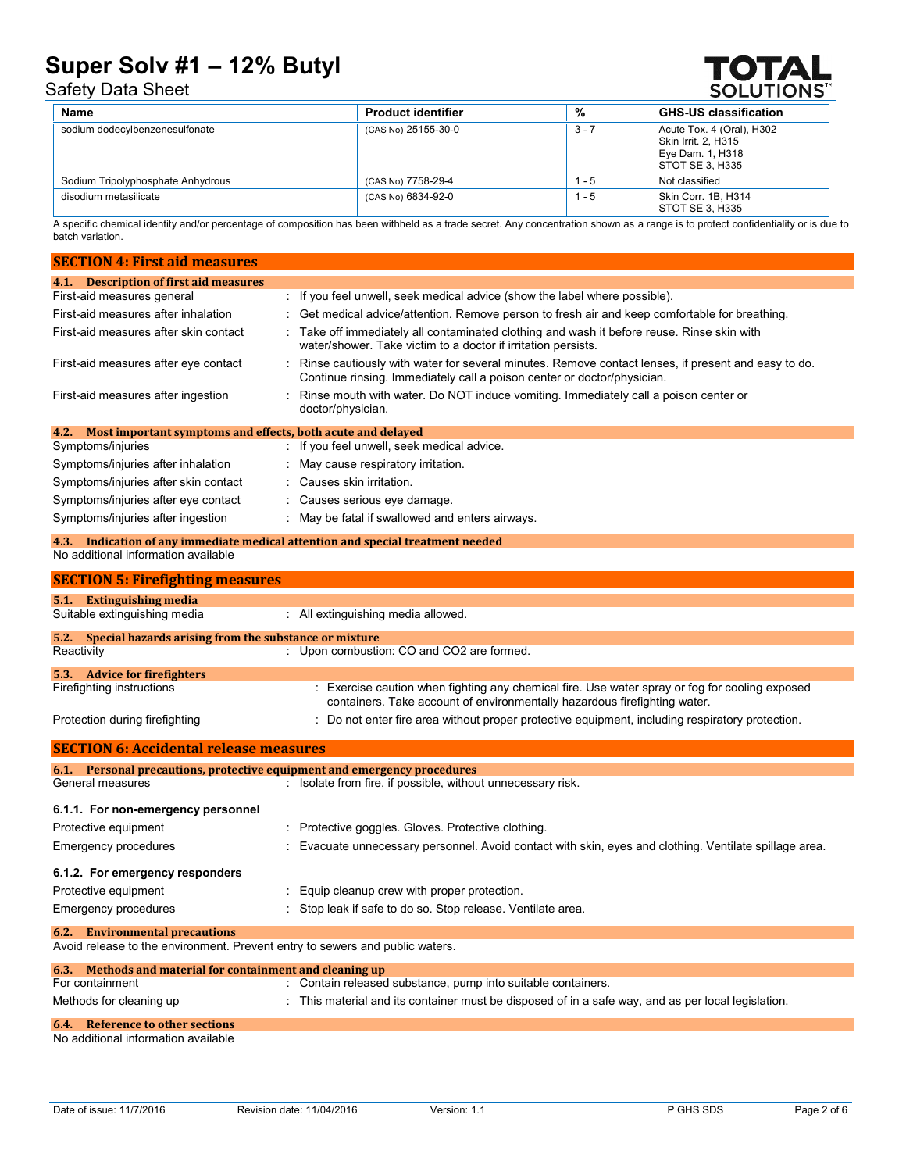# Safety Data Sheet



| Name                              | <b>Product identifier</b> | %       | <b>GHS-US classification</b>                                                            |
|-----------------------------------|---------------------------|---------|-----------------------------------------------------------------------------------------|
| sodium dodecylbenzenesulfonate    | (CAS No) 25155-30-0       | $3 - 7$ | Acute Tox. 4 (Oral), H302<br>Skin Irrit. 2. H315<br>Eye Dam. 1, H318<br>STOT SE 3. H335 |
| Sodium Tripolyphosphate Anhydrous | (CAS No) 7758-29-4        | $1 - 5$ | Not classified                                                                          |
| disodium metasilicate             | (CAS No) 6834-92-0        | $1 - 5$ | Skin Corr. 1B, H314<br>STOT SE 3. H335                                                  |

A specific chemical identity and/or percentage of composition has been withheld as a trade secret. Any concentration shown as a range is to protect confidentiality or is due to batch variation.

| <b>SECTION 4: First aid measures</b>                                         |                                                                                                                                                                                 |
|------------------------------------------------------------------------------|---------------------------------------------------------------------------------------------------------------------------------------------------------------------------------|
| 4.1. Description of first aid measures                                       |                                                                                                                                                                                 |
| First-aid measures general                                                   | : If you feel unwell, seek medical advice (show the label where possible).                                                                                                      |
| First-aid measures after inhalation                                          | : Get medical advice/attention. Remove person to fresh air and keep comfortable for breathing.                                                                                  |
| First-aid measures after skin contact                                        | Take off immediately all contaminated clothing and wash it before reuse. Rinse skin with<br>water/shower. Take victim to a doctor if irritation persists.                       |
| First-aid measures after eye contact                                         | : Rinse cautiously with water for several minutes. Remove contact lenses, if present and easy to do.<br>Continue rinsing. Immediately call a poison center or doctor/physician. |
| First-aid measures after ingestion                                           | Rinse mouth with water. Do NOT induce vomiting. Immediately call a poison center or<br>doctor/physician.                                                                        |
| Most important symptoms and effects, both acute and delayed<br>4.2.          |                                                                                                                                                                                 |
| Symptoms/injuries                                                            | : If you feel unwell, seek medical advice.                                                                                                                                      |
| Symptoms/injuries after inhalation                                           | : May cause respiratory irritation.                                                                                                                                             |
| Symptoms/injuries after skin contact                                         | : Causes skin irritation.                                                                                                                                                       |
| Symptoms/injuries after eye contact                                          | : Causes serious eye damage.                                                                                                                                                    |
| Symptoms/injuries after ingestion                                            | May be fatal if swallowed and enters airways.                                                                                                                                   |
| 4.3.                                                                         | Indication of any immediate medical attention and special treatment needed                                                                                                      |
| No additional information available                                          |                                                                                                                                                                                 |
| <b>SECTION 5: Firefighting measures</b>                                      |                                                                                                                                                                                 |
| 5.1. Extinguishing media                                                     |                                                                                                                                                                                 |
| Suitable extinguishing media                                                 | : All extinguishing media allowed.                                                                                                                                              |
| Special hazards arising from the substance or mixture<br>5.2.                |                                                                                                                                                                                 |
| Reactivity                                                                   | : Upon combustion: CO and CO2 are formed.                                                                                                                                       |
| 5.3. Advice for firefighters                                                 |                                                                                                                                                                                 |
| Firefighting instructions                                                    | : Exercise caution when fighting any chemical fire. Use water spray or fog for cooling exposed<br>containers. Take account of environmentally hazardous firefighting water.     |
| Protection during firefighting                                               | : Do not enter fire area without proper protective equipment, including respiratory protection.                                                                                 |
| <b>SECTION 6: Accidental release measures</b>                                |                                                                                                                                                                                 |
| 6.1. Personal precautions, protective equipment and emergency procedures     |                                                                                                                                                                                 |
| General measures                                                             | : Isolate from fire, if possible, without unnecessary risk.                                                                                                                     |
| 6.1.1. For non-emergency personnel                                           |                                                                                                                                                                                 |
| Protective equipment                                                         | Protective goggles. Gloves. Protective clothing.                                                                                                                                |
| <b>Emergency procedures</b>                                                  | Evacuate unnecessary personnel. Avoid contact with skin, eyes and clothing. Ventilate spillage area.                                                                            |
| 6.1.2. For emergency responders                                              |                                                                                                                                                                                 |
| Protective equipment                                                         | Equip cleanup crew with proper protection.                                                                                                                                      |
| <b>Emergency procedures</b>                                                  | Stop leak if safe to do so. Stop release. Ventilate area.                                                                                                                       |
| <b>Environmental precautions</b><br>6.2.                                     |                                                                                                                                                                                 |
| Avoid release to the environment. Prevent entry to sewers and public waters. |                                                                                                                                                                                 |
| Methods and material for containment and cleaning up<br>6.3.                 |                                                                                                                                                                                 |
| For containment                                                              | : Contain released substance, pump into suitable containers.                                                                                                                    |
| Methods for cleaning up                                                      | This material and its container must be disposed of in a safe way, and as per local legislation.                                                                                |
| <b>Reference to other sections</b><br>6.4.                                   |                                                                                                                                                                                 |

No additional information available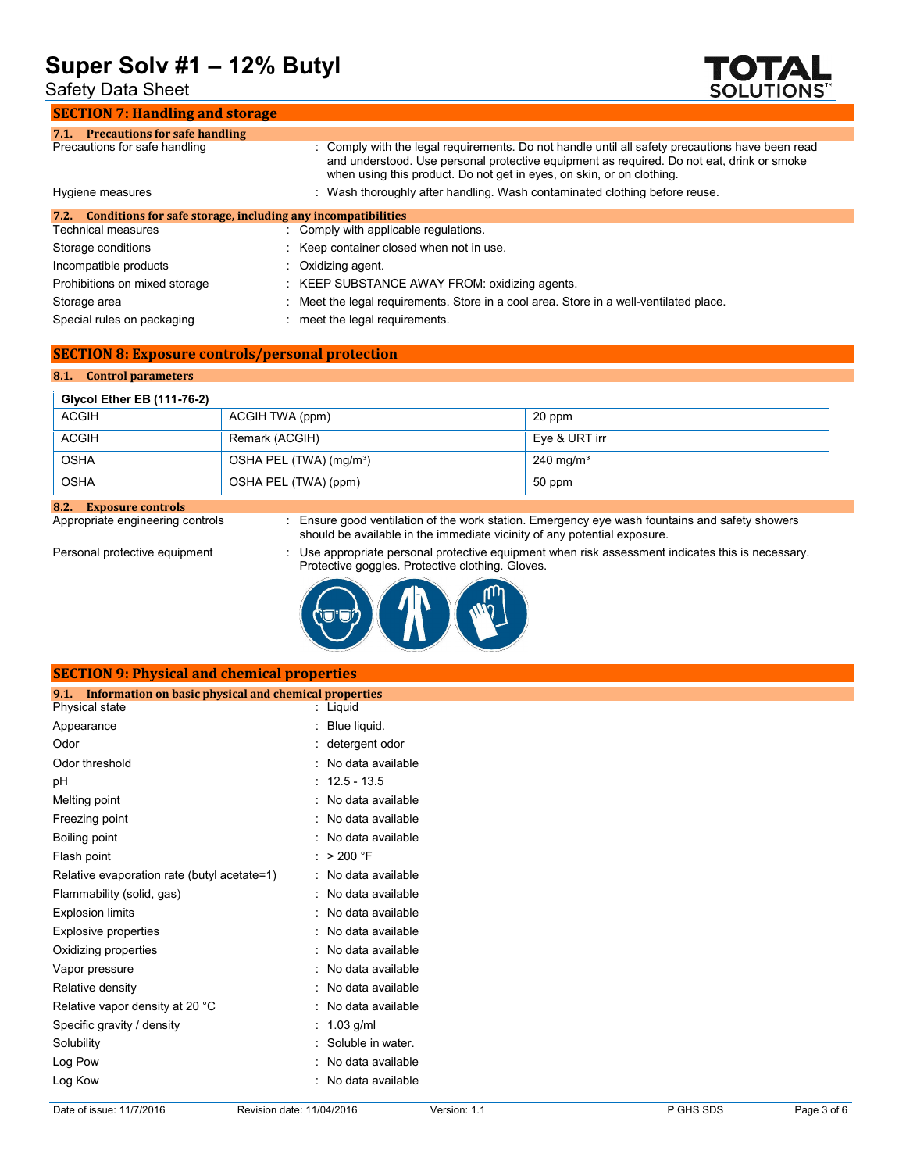Safety Data Sheet

### **SECTION 7: Handling and storage**



| <b>Precautions for safe handling</b><br>7.1.                         |                                                                                                                                                                                                                                                                       |
|----------------------------------------------------------------------|-----------------------------------------------------------------------------------------------------------------------------------------------------------------------------------------------------------------------------------------------------------------------|
| Precautions for safe handling                                        | : Comply with the legal requirements. Do not handle until all safety precautions have been read<br>and understood. Use personal protective equipment as required. Do not eat, drink or smoke<br>when using this product. Do not get in eyes, on skin, or on clothing. |
| Hygiene measures                                                     | Wash thoroughly after handling. Wash contaminated clothing before reuse.                                                                                                                                                                                              |
| Conditions for safe storage, including any incompatibilities<br>7.2. |                                                                                                                                                                                                                                                                       |
| Technical measures                                                   | : Comply with applicable regulations.                                                                                                                                                                                                                                 |
| Storage conditions                                                   | : Keep container closed when not in use.                                                                                                                                                                                                                              |
| Incompatible products                                                | $\therefore$ Oxidizing agent.                                                                                                                                                                                                                                         |
| Prohibitions on mixed storage                                        | : KEEP SUBSTANCE AWAY FROM: oxidizing agents.                                                                                                                                                                                                                         |
| Storage area                                                         | : Meet the legal requirements. Store in a cool area. Store in a well-ventilated place.                                                                                                                                                                                |

Special rules on packaging : meet the legal requirements.

# **SECTION 8: Exposure controls/personal protection**

# **8.1. Control parameters**

| <b>Glycol Ether EB (111-76-2)</b> |                                     |                      |
|-----------------------------------|-------------------------------------|----------------------|
| ACGIH                             | ACGIH TWA (ppm)                     | 20 ppm               |
| <b>ACGIH</b>                      | Remark (ACGIH)                      | Eve & URT irr        |
| <b>OSHA</b>                       | OSHA PEL (TWA) (mg/m <sup>3</sup> ) | $240 \text{ mg/m}^3$ |
| <b>OSHA</b>                       | OSHA PEL (TWA) (ppm)                | 50 ppm               |

**8.2. Exposure controls**

Appropriate engineering controls : Ensure good ventilation of the work station. Emergency eye wash fountains and safety showers should be available in the immediate vicinity of any potential exposure.

Personal protective equipment : Use appropriate personal protective equipment when risk assessment indicates this is necessary. Protective goggles. Protective clothing. Gloves.



# **SECTION 9: Physical and chemical properties**

| Information on basic physical and chemical properties<br>9.1. |   |                   |
|---------------------------------------------------------------|---|-------------------|
| Physical state                                                |   | Liguid            |
| Appearance                                                    |   | Blue liquid.      |
| Odor                                                          |   | detergent odor    |
| Odor threshold                                                | ٠ | No data available |
| рH                                                            |   | $12.5 - 13.5$     |
| Melting point                                                 |   | No data available |
| Freezing point                                                |   | No data available |
| Boiling point                                                 |   | No data available |
| Flash point                                                   |   | > 200 °F          |
| Relative evaporation rate (butyl acetate=1)                   | İ | No data available |
| Flammability (solid, gas)                                     | ٠ | No data available |
| <b>Explosion limits</b>                                       |   | No data available |
| <b>Explosive properties</b>                                   |   | No data available |
| Oxidizing properties                                          |   | No data available |
| Vapor pressure                                                |   | No data available |
| Relative density                                              |   | No data available |
| Relative vapor density at 20 °C                               |   | No data available |
| Specific gravity / density                                    |   | $1.03$ g/ml       |
| Solubility                                                    |   | Soluble in water. |
| Log Pow                                                       |   | No data available |
| Log Kow                                                       |   | No data available |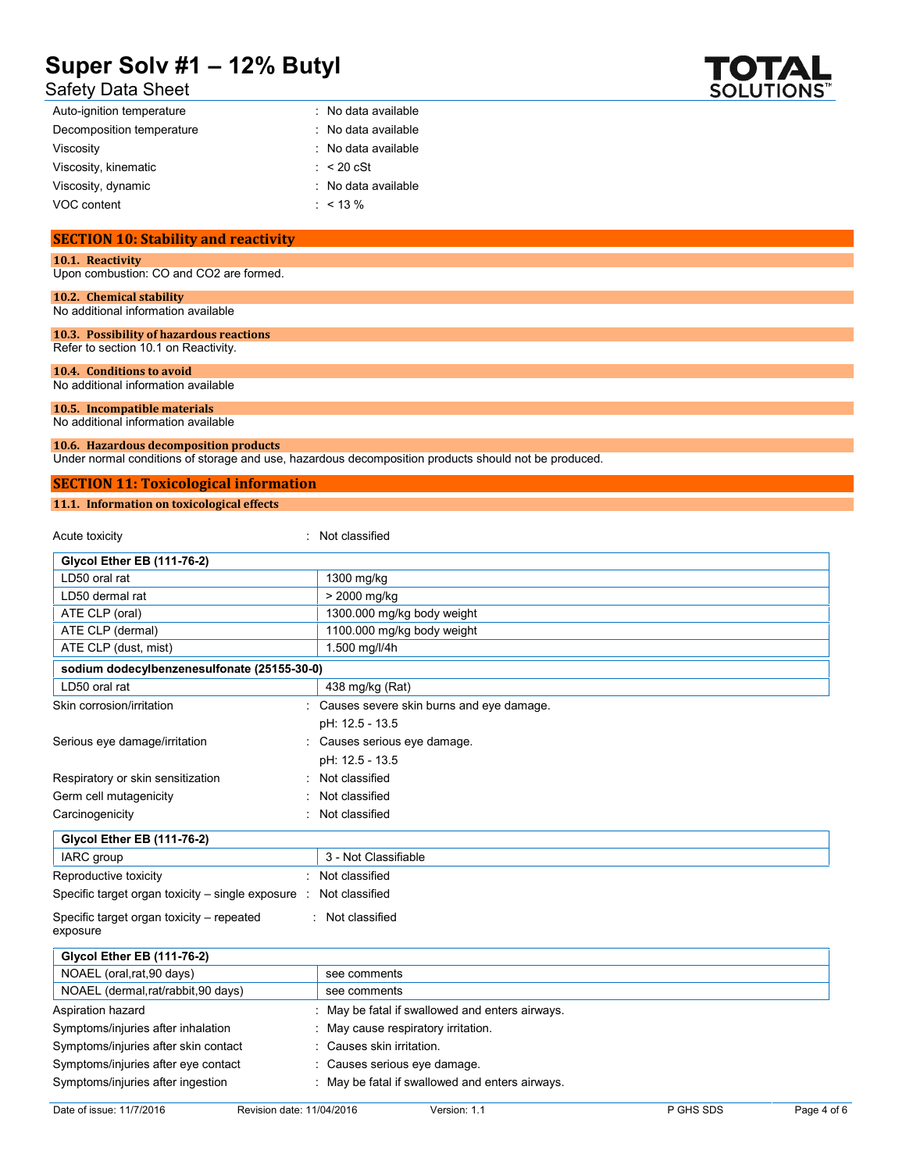# Safety Data Sheet

| $\mathbf{V}$ $\mathbf{A}$ |
|---------------------------|
| <b>SOLUTIONS</b>          |

| Auto-ignition temperature | : No data available   |
|---------------------------|-----------------------|
| Decomposition temperature | : No data available   |
| Viscosity                 | : No data available   |
| Viscosity, kinematic      | $\therefore$ < 20 cSt |
| Viscosity, dynamic        | : No data available   |
| VOC content               | $: 13\%$              |
|                           |                       |

# **SECTION 10: Stability and reactivity**

**10.1. Reactivity**

Upon combustion: CO and CO2 are formed.

# **10.2. Chemical stability**

No additional information available

#### **10.3. Possibility of hazardous reactions** Refer to section 10.1 on Reactivity.

**10.4. Conditions to avoid**

No additional information available

#### **10.5. Incompatible materials** No additional information available

# **10.6. Hazardous decomposition products**

Under normal conditions of storage and use, hazardous decomposition products should not be produced.

# **SECTION 11: Toxicological information**

## **11.1. Information on toxicological effects**

Acute toxicity in the contract of the contract of the classified in the contract of the contract of the contract of the contract of the contract of the contract of the contract of the contract of the contract of the contra

| <b>Glycol Ether EB (111-76-2)</b>                     |                                                 |
|-------------------------------------------------------|-------------------------------------------------|
| LD50 oral rat                                         | 1300 mg/kg                                      |
| LD50 dermal rat                                       | > 2000 mg/kg                                    |
| ATE CLP (oral)                                        | 1300.000 mg/kg body weight                      |
| ATE CLP (dermal)                                      | 1100.000 mg/kg body weight                      |
| ATE CLP (dust, mist)                                  | 1.500 mg/l/4h                                   |
| sodium dodecylbenzenesulfonate (25155-30-0)           |                                                 |
| LD50 oral rat                                         | 438 mg/kg (Rat)                                 |
| Skin corrosion/irritation                             | Causes severe skin burns and eye damage.        |
|                                                       | pH: 12.5 - 13.5                                 |
| Serious eye damage/irritation                         | Causes serious eye damage.                      |
|                                                       | pH: 12.5 - 13.5                                 |
| Respiratory or skin sensitization                     | Not classified                                  |
| Germ cell mutagenicity                                | Not classified                                  |
| Carcinogenicity                                       | Not classified                                  |
| <b>Glycol Ether EB (111-76-2)</b>                     |                                                 |
| IARC group                                            | 3 - Not Classifiable                            |
| Reproductive toxicity                                 | : Not classified                                |
| Specific target organ toxicity $-$ single exposure :  | Not classified                                  |
| Specific target organ toxicity – repeated<br>exposure | : Not classified                                |
| Glycol Ether EB (111-76-2)                            |                                                 |
| NOAEL (oral, rat, 90 days)                            | see comments                                    |
| NOAEL (dermal,rat/rabbit,90 days)                     | see comments                                    |
| Aspiration hazard                                     | May be fatal if swallowed and enters airways.   |
| Symptoms/injuries after inhalation                    | May cause respiratory irritation.               |
| Symptoms/injuries after skin contact                  | Causes skin irritation.                         |
| Symptoms/injuries after eye contact                   | Causes serious eye damage.                      |
| Symptoms/injuries after ingestion                     | : May be fatal if swallowed and enters airways. |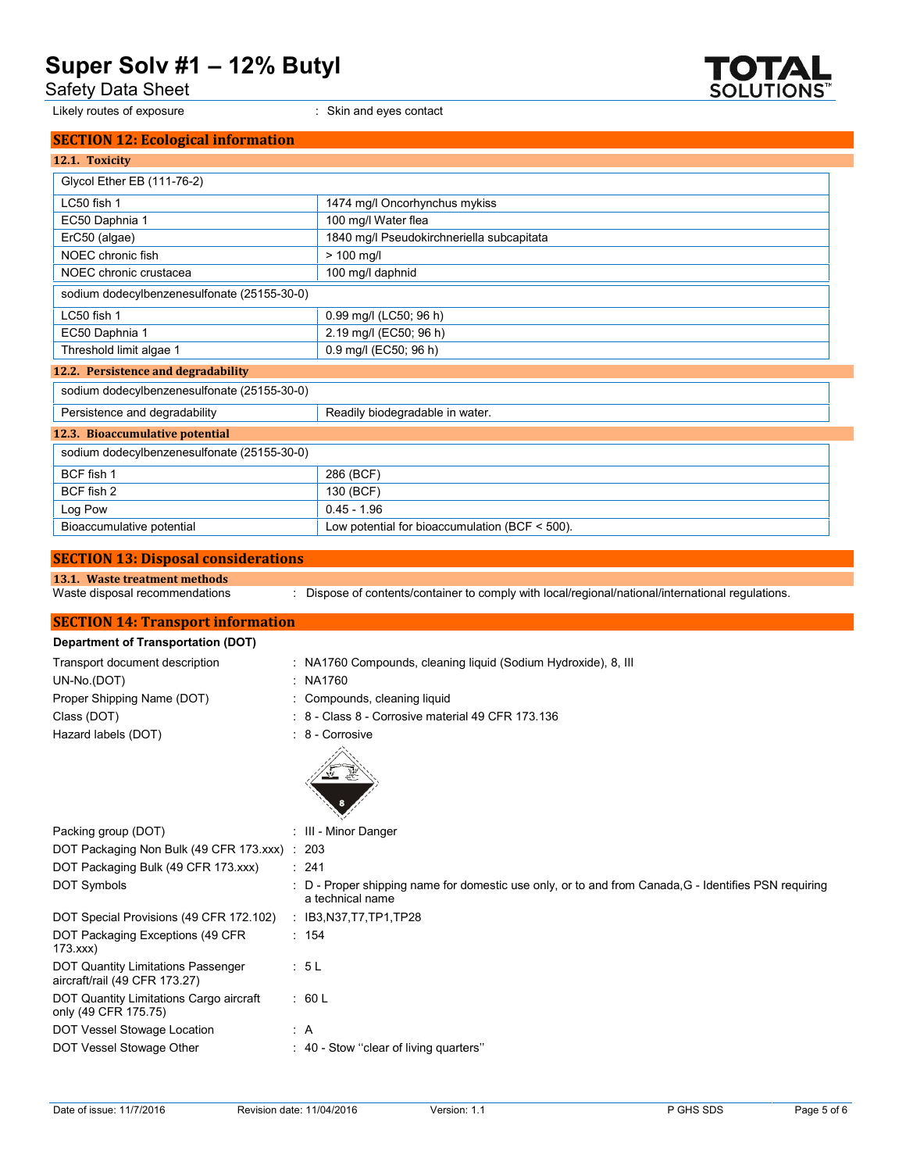Safety Data Sheet

Likely routes of exposure **interpretate and example 2**: Skin and eyes contact



| <b>SECTION 12: Ecological information</b>   |                                           |
|---------------------------------------------|-------------------------------------------|
| 12.1. Toxicity                              |                                           |
| Glycol Ether EB (111-76-2)                  |                                           |
| LC50 fish 1                                 | 1474 mg/l Oncorhynchus mykiss             |
| EC50 Daphnia 1                              | 100 mg/l Water flea                       |
| ErC50 (algae)                               | 1840 mg/l Pseudokirchneriella subcapitata |
| NOEC chronic fish                           | $> 100$ mg/l                              |
| NOEC chronic crustacea                      | 100 mg/l daphnid                          |
| sodium dodecylbenzenesulfonate (25155-30-0) |                                           |
| LC50 fish 1                                 | 0.99 mg/l (LC50; 96 h)                    |
| EC50 Daphnia 1                              | 2.19 mg/l (EC50; 96 h)                    |
| Threshold limit algae 1                     | 0.9 mg/l (EC50; 96 h)                     |
| 12.2. Persistence and degradability         |                                           |
| sodium dodecylbenzenesulfonate (25155-30-0) |                                           |
| Persistence and degradability               | Readily biodegradable in water.           |
| 12.3. Bioaccumulative potential             |                                           |
| sodium dodecylbenzenesulfonate (25155-30-0) |                                           |
| $DCE$ figh 1                                | 296(DCE)                                  |

| BCF fish 1                | 286 (BCF)                                           |
|---------------------------|-----------------------------------------------------|
| BCF fish 2                | 130 (BCF)                                           |
| Log Pow                   | $0.45 - 1.96$                                       |
| Bioaccumulative potential | Low potential for bioaccumulation (BCF $\leq$ 500). |

# **SECTION 13: Disposal considerations**

**13.1. Waste treatment methods**

: Dispose of contents/container to comply with local/regional/national/international regulations.

# **SECTION 14: Transport information**

# **Department of Transportation (DOT)** Transport document description : NA1760 Compounds, cleaning liquid (Sodium Hydroxide), 8, III UN-No.(DOT) : NA1760 Proper Shipping Name (DOT) : Compounds, cleaning liquid Class (DOT) : 8 - Class 8 - Corrosive material 49 CFR 173.136 Hazard labels (DOT) : 8 - Corrosive



|                                                                            | $\mathcal{L}$                                                                                                             |
|----------------------------------------------------------------------------|---------------------------------------------------------------------------------------------------------------------------|
| Packing group (DOT)                                                        | : III - Minor Danger                                                                                                      |
| DOT Packaging Non Bulk (49 CFR 173 xxx) : 203                              |                                                                                                                           |
| DOT Packaging Bulk (49 CFR 173.xxx)                                        | : 241                                                                                                                     |
| <b>DOT Symbols</b>                                                         | : D - Proper shipping name for domestic use only, or to and from Canada, G - Identifies PSN requiring<br>a technical name |
| DOT Special Provisions (49 CFR 172.102)                                    | : IB3,N37,T7,TP1,TP28                                                                                                     |
| DOT Packaging Exceptions (49 CFR)<br>173.xxx                               | : 154                                                                                                                     |
| <b>DOT Quantity Limitations Passenger</b><br>aircraft/rail (49 CFR 173.27) | : 5L                                                                                                                      |
| DOT Quantity Limitations Cargo aircraft<br>only (49 CFR 175.75)            | : 60 L                                                                                                                    |
| DOT Vessel Stowage Location                                                | : A                                                                                                                       |
| DOT Vessel Stowage Other                                                   | : 40 - Stow "clear of living quarters"                                                                                    |
|                                                                            |                                                                                                                           |